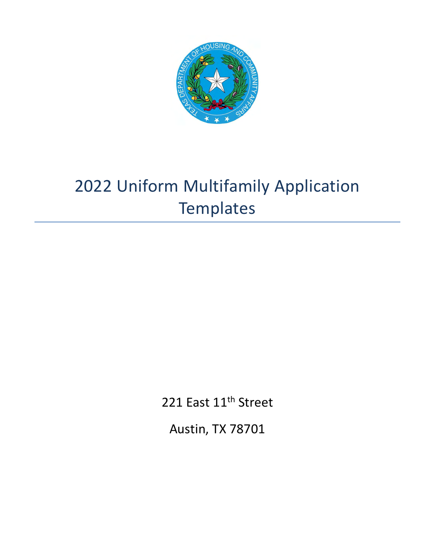

# 2022 Uniform Multifamily Application **Templates**

221 East 11<sup>th</sup> Street

Austin, TX 78701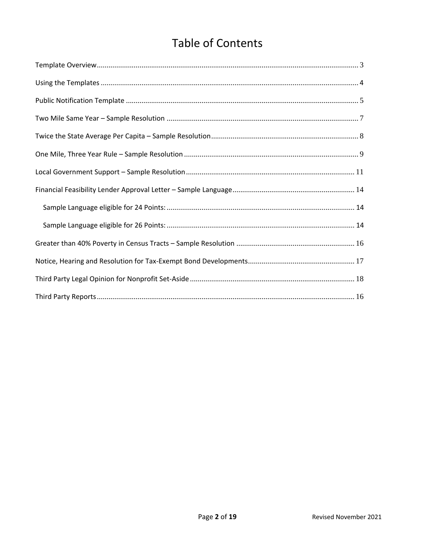# **Table of Contents**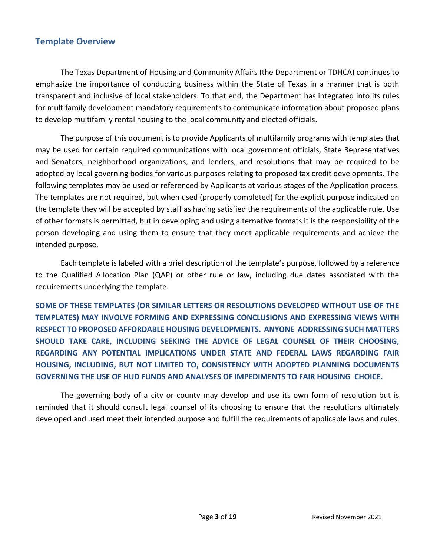# <span id="page-2-0"></span>**Template Overview**

The Texas Department of Housing and Community Affairs (the Department or TDHCA) continues to emphasize the importance of conducting business within the State of Texas in a manner that is both transparent and inclusive of local stakeholders. To that end, the Department has integrated into its rules for multifamily development mandatory requirements to communicate information about proposed plans to develop multifamily rental housing to the local community and elected officials.

The purpose of this document is to provide Applicants of multifamily programs with templates that may be used for certain required communications with local government officials, State Representatives and Senators, neighborhood organizations, and lenders, and resolutions that may be required to be adopted by local governing bodies for various purposes relating to proposed tax credit developments. The following templates may be used or referenced by Applicants at various stages of the Application process. The templates are not required, but when used (properly completed) for the explicit purpose indicated on the template they will be accepted by staff as having satisfied the requirements of the applicable rule. Use of other formats is permitted, but in developing and using alternative formats it is the responsibility of the person developing and using them to ensure that they meet applicable requirements and achieve the intended purpose.

Each template is labeled with a brief description of the template's purpose, followed by a reference to the Qualified Allocation Plan (QAP) or other rule or law, including due dates associated with the requirements underlying the template.

**SOME OF THESE TEMPLATES (OR SIMILAR LETTERS OR RESOLUTIONS DEVELOPED WITHOUT USE OF THE TEMPLATES) MAY INVOLVE FORMING AND EXPRESSING CONCLUSIONS AND EXPRESSING VIEWS WITH RESPECT TO PROPOSED AFFORDABLE HOUSING DEVELOPMENTS. ANYONE ADDRESSING SUCH MATTERS SHOULD TAKE CARE, INCLUDING SEEKING THE ADVICE OF LEGAL COUNSEL OF THEIR CHOOSING, REGARDING ANY POTENTIAL IMPLICATIONS UNDER STATE AND FEDERAL LAWS REGARDING FAIR HOUSING, INCLUDING, BUT NOT LIMITED TO, CONSISTENCY WITH ADOPTED PLANNING DOCUMENTS GOVERNING THE USE OF HUD FUNDS AND ANALYSES OF IMPEDIMENTS TO FAIR HOUSING CHOICE.** 

The governing body of a city or county may develop and use its own form of resolution but is reminded that it should consult legal counsel of its choosing to ensure that the resolutions ultimately developed and used meet their intended purpose and fulfill the requirements of applicable laws and rules.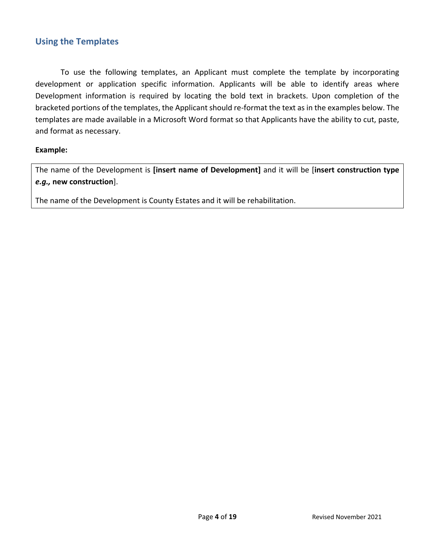# <span id="page-3-0"></span>**Using the Templates**

To use the following templates, an Applicant must complete the template by incorporating development or application specific information. Applicants will be able to identify areas where Development information is required by locating the bold text in brackets. Upon completion of the bracketed portions of the templates, the Applicant should re-format the text as in the examples below. The templates are made available in a Microsoft Word format so that Applicants have the ability to cut, paste, and format as necessary.

#### **Example:**

The name of the Development is **[insert name of Development]** and it will be [**insert construction type**  *e.g.,* **new construction**].

The name of the Development is County Estates and it will be rehabilitation.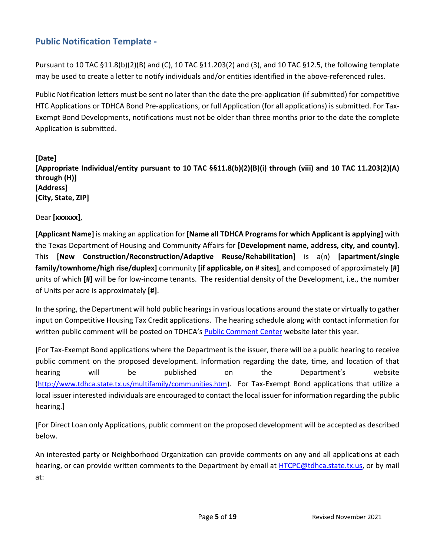# <span id="page-4-0"></span>**Public Notification Template -**

Pursuant to 10 TAC §11.8(b)(2)(B) and (C), 10 TAC §11.203(2) and (3), and 10 TAC §12.5, the following template may be used to create a letter to notify individuals and/or entities identified in the above-referenced rules.

Public Notification letters must be sent no later than the date the pre-application (if submitted) for competitive HTC Applications or TDHCA Bond Pre-applications, or full Application (for all applications) is submitted. For Tax-Exempt Bond Developments, notifications must not be older than three months prior to the date the complete Application is submitted.

**[Date] [Appropriate Individual/entity pursuant to 10 TAC §§11.8(b)(2)(B)(i) through (viii) and 10 TAC 11.203(2)(A) through (H)] [Address] [City, State, ZIP]**

Dear **[xxxxxx]**,

**[Applicant Name]** is making an application for **[Name all TDHCA Programs for which Applicant is applying]** with the Texas Department of Housing and Community Affairs for **[Development name, address, city, and county]**. This **[New Construction/Reconstruction/Adaptive Reuse/Rehabilitation]** is a(n) **[apartment/single family/townhome/high rise/duplex]** community **[if applicable, on # sites]**, and composed of approximately **[#]** units of which **[#]** will be for low-income tenants. The residential density of the Development, i.e., the number of Units per acre is approximately **[#]**.

In the spring, the Department will hold public hearings in various locations around the state or virtually to gather input on Competitive Housing Tax Credit applications. The hearing schedule along with contact information for written public comment will be posted on TDHCA's [Public Comment Center](http://www.tdhca.state.tx.us/public-comment.htm) website later this year.

[For Tax-Exempt Bond applications where the Department is the issuer, there will be a public hearing to receive public comment on the proposed development. Information regarding the date, time, and location of that hearing will be published on the Department's website (<http://www.tdhca.state.tx.us/multifamily/communities.htm>). For Tax-Exempt Bond applications that utilize a local issuer interested individuals are encouraged to contact the local issuer for information regarding the public hearing.]

[For Direct Loan only Applications, public comment on the proposed development will be accepted as described below.

An interested party or Neighborhood Organization can provide comments on any and all applications at each hearing, or can provide written comments to the Department by email at [HTCPC@tdhca.state.tx.us,](mailto:HTCPC@tdhca.state.tx.us) or by mail at: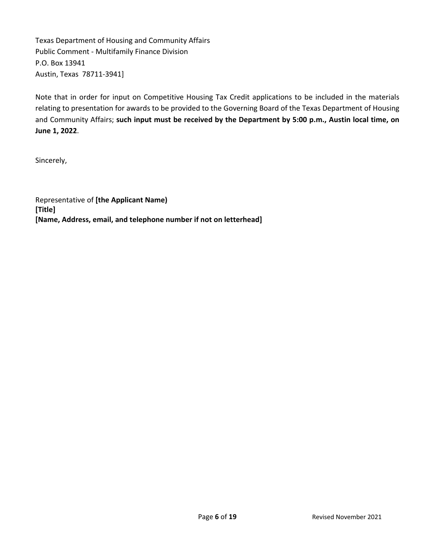Texas Department of Housing and Community Affairs Public Comment - Multifamily Finance Division P.O. Box 13941 Austin, Texas 78711-3941]

Note that in order for input on Competitive Housing Tax Credit applications to be included in the materials relating to presentation for awards to be provided to the Governing Board of the Texas Department of Housing and Community Affairs; **such input must be received by the Department by 5:00 p.m., Austin local time, on June 1, 2022**.

Sincerely,

Representative of **[the Applicant Name) [Title] [Name, Address, email, and telephone number if not on letterhead]**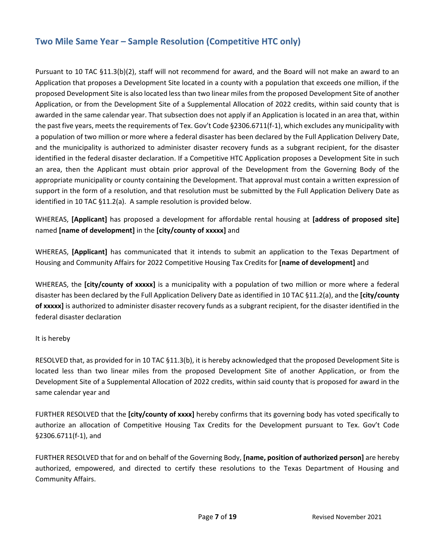# <span id="page-6-0"></span>**Two Mile Same Year – Sample Resolution (Competitive HTC only)**

Pursuant to 10 TAC §11.3(b)(2), staff will not recommend for award, and the Board will not make an award to an Application that proposes a Development Site located in a county with a population that exceeds one million, if the proposed Development Site is also located less than two linear miles from the proposed Development Site of another Application, or from the Development Site of a Supplemental Allocation of 2022 credits, within said county that is awarded in the same calendar year. That subsection does not apply if an Application is located in an area that, within the past five years, meets the requirements of Tex. Gov't Code §2306.6711(f-1), which excludes any municipality with a population of two million or more where a federal disaster has been declared by the Full Application Delivery Date, and the municipality is authorized to administer disaster recovery funds as a subgrant recipient, for the disaster identified in the federal disaster declaration. If a Competitive HTC Application proposes a Development Site in such an area, then the Applicant must obtain prior approval of the Development from the Governing Body of the appropriate municipality or county containing the Development. That approval must contain a written expression of support in the form of a resolution, and that resolution must be submitted by the Full Application Delivery Date as identified in 10 TAC §11.2(a). A sample resolution is provided below.

WHEREAS, **[Applicant]** has proposed a development for affordable rental housing at **[address of proposed site]** named **[name of development]** in the **[city/county of xxxxx]** and

WHEREAS, **[Applicant]** has communicated that it intends to submit an application to the Texas Department of Housing and Community Affairs for 2022 Competitive Housing Tax Credits for **[name of development]** and

WHEREAS, the **[city/county of xxxxx]** is a municipality with a population of two million or more where a federal disaster has been declared by the Full Application Delivery Date as identified in 10 TAC §11.2(a), and the **[city/county of xxxxx]** is authorized to administer disaster recovery funds as a subgrant recipient, for the disaster identified in the federal disaster declaration

#### It is hereby

RESOLVED that, as provided for in 10 TAC §11.3(b), it is hereby acknowledged that the proposed Development Site is located less than two linear miles from the proposed Development Site of another Application, or from the Development Site of a Supplemental Allocation of 2022 credits, within said county that is proposed for award in the same calendar year and

FURTHER RESOLVED that the **[city/county of xxxx]** hereby confirms that its governing body has voted specifically to authorize an allocation of Competitive Housing Tax Credits for the Development pursuant to Tex. Gov't Code §2306.6711(f-1), and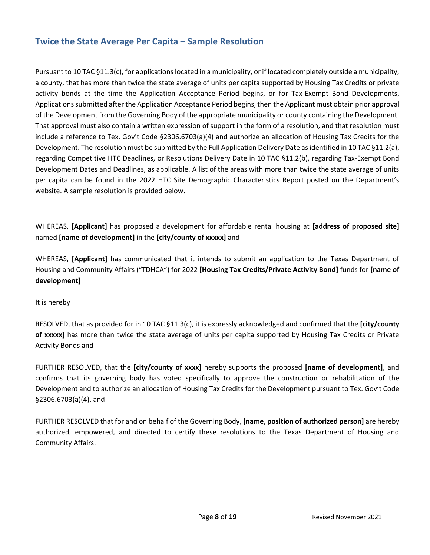# <span id="page-7-0"></span>**Twice the State Average Per Capita – Sample Resolution**

Pursuant to 10 TAC §11.3(c), for applications located in a municipality, or if located completely outside a municipality, a county, that has more than twice the state average of units per capita supported by Housing Tax Credits or private activity bonds at the time the Application Acceptance Period begins, or for Tax-Exempt Bond Developments, Applications submitted after the Application Acceptance Period begins, then the Applicant must obtain prior approval of the Development from the Governing Body of the appropriate municipality or county containing the Development. That approval must also contain a written expression of support in the form of a resolution, and that resolution must include a reference to Tex. Gov't Code §2306.6703(a)(4) and authorize an allocation of Housing Tax Credits for the Development. The resolution must be submitted by the Full Application Delivery Date as identified in 10 TAC §11.2(a), regarding Competitive HTC Deadlines, or Resolutions Delivery Date in 10 TAC §11.2(b), regarding Tax-Exempt Bond Development Dates and Deadlines, as applicable. A list of the areas with more than twice the state average of units per capita can be found in the 2022 HTC Site Demographic Characteristics Report posted on the Department's website. A sample resolution is provided below.

WHEREAS, **[Applicant]** has proposed a development for affordable rental housing at **[address of proposed site]** named **[name of development]** in the **[city/county of xxxxx]** and

WHEREAS, **[Applicant]** has communicated that it intends to submit an application to the Texas Department of Housing and Community Affairs ("TDHCA") for 2022 **[Housing Tax Credits/Private Activity Bond]** funds for **[name of development]**

It is hereby

RESOLVED, that as provided for in 10 TAC §11.3(c), it is expressly acknowledged and confirmed that the **[city/county of xxxxx]** has more than twice the state average of units per capita supported by Housing Tax Credits or Private Activity Bonds and

FURTHER RESOLVED, that the **[city/county of xxxx]** hereby supports the proposed **[name of development]**, and confirms that its governing body has voted specifically to approve the construction or rehabilitation of the Development and to authorize an allocation of Housing Tax Credits for the Development pursuant to Tex. Gov't Code §2306.6703(a)(4), and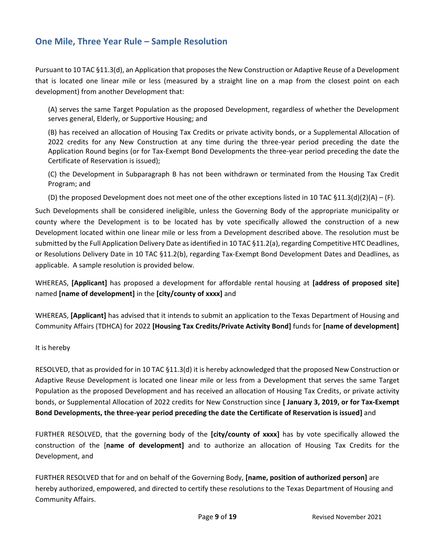# <span id="page-8-0"></span>**One Mile, Three Year Rule – Sample Resolution**

Pursuant to 10 TAC §11.3(d), an Application that proposes the New Construction or Adaptive Reuse of a Development that is located one linear mile or less (measured by a straight line on a map from the closest point on each development) from another Development that:

(A) serves the same Target Population as the proposed Development, regardless of whether the Development serves general, Elderly, or Supportive Housing; and

(B) has received an allocation of Housing Tax Credits or private activity bonds, or a Supplemental Allocation of 2022 credits for any New Construction at any time during the three-year period preceding the date the Application Round begins (or for Tax-Exempt Bond Developments the three-year period preceding the date the Certificate of Reservation is issued);

(C) the Development in Subparagraph B has not been withdrawn or terminated from the Housing Tax Credit Program; and

(D) the proposed Development does not meet one of the other exceptions listed in 10 TAC §11.3(d)(2)(A) – (F).

Such Developments shall be considered ineligible, unless the Governing Body of the appropriate municipality or county where the Development is to be located has by vote specifically allowed the construction of a new Development located within one linear mile or less from a Development described above. The resolution must be submitted by the Full Application Delivery Date as identified in 10 TAC §11.2(a), regarding Competitive HTC Deadlines, or Resolutions Delivery Date in 10 TAC §11.2(b), regarding Tax-Exempt Bond Development Dates and Deadlines, as applicable. A sample resolution is provided below.

WHEREAS, **[Applicant]** has proposed a development for affordable rental housing at **[address of proposed site]** named **[name of development]** in the **[city/county of xxxx]** and

WHEREAS, **[Applicant]** has advised that it intends to submit an application to the Texas Department of Housing and Community Affairs (TDHCA) for 2022 **[Housing Tax Credits/Private Activity Bond]** funds for **[name of development]**

#### It is hereby

RESOLVED, that as provided for in 10 TAC §11.3(d) it is hereby acknowledged that the proposed New Construction or Adaptive Reuse Development is located one linear mile or less from a Development that serves the same Target Population as the proposed Development and has received an allocation of Housing Tax Credits, or private activity bonds, or Supplemental Allocation of 2022 credits for New Construction since **[ January 3, 2019, or for Tax-Exempt Bond Developments, the three-year period preceding the date the Certificate of Reservation is issued]** and

FURTHER RESOLVED, that the governing body of the **[city/county of xxxx]** has by vote specifically allowed the construction of the [**name of development]** and to authorize an allocation of Housing Tax Credits for the Development, and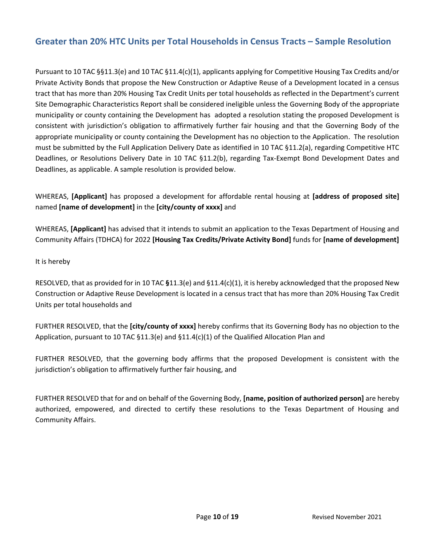# **Greater than 20% HTC Units per Total Households in Census Tracts – Sample Resolution**

Pursuant to 10 TAC §§11.3(e) and 10 TAC §11.4(c)(1), applicants applying for Competitive Housing Tax Credits and/or Private Activity Bonds that propose the New Construction or Adaptive Reuse of a Development located in a census tract that has more than 20% Housing Tax Credit Units per total households as reflected in the Department's current Site Demographic Characteristics Report shall be considered ineligible unless the Governing Body of the appropriate municipality or county containing the Development has adopted a resolution stating the proposed Development is consistent with jurisdiction's obligation to affirmatively further fair housing and that the Governing Body of the appropriate municipality or county containing the Development has no objection to the Application. The resolution must be submitted by the Full Application Delivery Date as identified in 10 TAC §11.2(a), regarding Competitive HTC Deadlines, or Resolutions Delivery Date in 10 TAC §11.2(b), regarding Tax-Exempt Bond Development Dates and Deadlines, as applicable. A sample resolution is provided below.

WHEREAS, **[Applicant]** has proposed a development for affordable rental housing at **[address of proposed site]** named **[name of development]** in the **[city/county of xxxx]** and

WHEREAS, **[Applicant]** has advised that it intends to submit an application to the Texas Department of Housing and Community Affairs (TDHCA) for 2022 **[Housing Tax Credits/Private Activity Bond]** funds for **[name of development]**

It is hereby

RESOLVED, that as provided for in 10 TAC **§**11.3(e) and §11.4(c)(1), it is hereby acknowledged that the proposed New Construction or Adaptive Reuse Development is located in a census tract that has more than 20% Housing Tax Credit Units per total households and

FURTHER RESOLVED, that the **[city/county of xxxx]** hereby confirms that its Governing Body has no objection to the Application, pursuant to 10 TAC  $\S11.3$ (e) and  $\S11.4$ (c)(1) of the Qualified Allocation Plan and

FURTHER RESOLVED, that the governing body affirms that the proposed Development is consistent with the jurisdiction's obligation to affirmatively further fair housing, and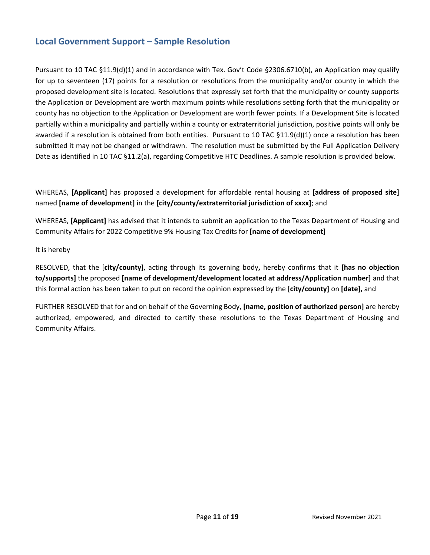# <span id="page-10-0"></span>**Local Government Support – Sample Resolution**

Pursuant to 10 TAC §11.9(d)(1) and in accordance with Tex. Gov't Code §2306.6710(b), an Application may qualify for up to seventeen (17) points for a resolution or resolutions from the municipality and/or county in which the proposed development site is located. Resolutions that expressly set forth that the municipality or county supports the Application or Development are worth maximum points while resolutions setting forth that the municipality or county has no objection to the Application or Development are worth fewer points. If a Development Site is located partially within a municipality and partially within a county or extraterritorial jurisdiction, positive points will only be awarded if a resolution is obtained from both entities. Pursuant to 10 TAC §11.9(d)(1) once a resolution has been submitted it may not be changed or withdrawn. The resolution must be submitted by the Full Application Delivery Date as identified in 10 TAC §11.2(a), regarding Competitive HTC Deadlines. A sample resolution is provided below.

WHEREAS, **[Applicant]** has proposed a development for affordable rental housing at **[address of proposed site]** named **[name of development]** in the **[city/county/extraterritorial jurisdiction of xxxx]**; and

WHEREAS, **[Applicant]** has advised that it intends to submit an application to the Texas Department of Housing and Community Affairs for 2022 Competitive 9% Housing Tax Credits for **[name of development]**

It is hereby

RESOLVED, that the [**city/county**], acting through its governing body**,** hereby confirms that it **[has no objection to/supports]** the proposed **[name of development/development located at address/Application number]** and that this formal action has been taken to put on record the opinion expressed by the [**city/county]** on **[date],** and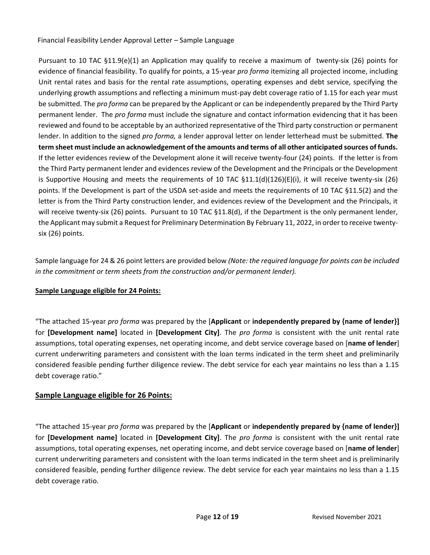<span id="page-11-0"></span>Financial Feasibility Lender Approval Letter – Sample Language

Pursuant to 10 TAC §11.9(e)(1) an Application may qualify to receive a maximum of twenty-six (26) points for evidence of financial feasibility. To qualify for points, a 15-year *pro forma* itemizing all projected income, including Unit rental rates and basis for the rental rate assumptions, operating expenses and debt service, specifying the underlying growth assumptions and reflecting a minimum must-pay debt coverage ratio of 1.15 for each year must be submitted. The *pro forma* can be prepared by the Applicant or can be independently prepared by the Third Party permanent lender. The *pro forma* must include the signature and contact information evidencing that it has been reviewed and found to be acceptable by an authorized representative of the Third party construction or permanent lender. In addition to the signed *pro forma,* a lender approval letter on lender letterhead must be submitted. **The term sheet must include an acknowledgement of the amounts and terms of all other anticipated sources of funds.**  If the letter evidences review of the Development alone it will receive twenty-four (24) points. If the letter is from the Third Party permanent lender and evidences review of the Development and the Principals or the Development is Supportive Housing and meets the requirements of 10 TAC  $\S 11.1(d)(126)(E)(i)$ , it will receive twenty-six (26) points. If the Development is part of the USDA set-aside and meets the requirements of 10 TAC §11.5(2) and the letter is from the Third Party construction lender, and evidences review of the Development and the Principals, it will receive twenty-six (26) points. Pursuant to 10 TAC §11.8(d), if the Department is the only permanent lender, the Applicant may submit a Request for Preliminary Determination By February 11, 2022, in order to receive twentysix (26) points.

Sample language for 24 & 26 point letters are provided below *(Note: the required language for points can be included in the commitment or term sheets from the construction and/or permanent lender).*

#### <span id="page-11-1"></span>**Sample Language eligible for 24 Points:**

"The attached 15-year *pro forma* was prepared by the [**Applicant** or **independently prepared by {name of lender}]** for **[Development name]** located in **[Development City]**. The *pro forma* is consistent with the unit rental rate assumptions, total operating expenses, net operating income, and debt service coverage based on [**name of lender**] current underwriting parameters and consistent with the loan terms indicated in the term sheet and preliminarily considered feasible pending further diligence review. The debt service for each year maintains no less than a 1.15 debt coverage ratio."

#### <span id="page-11-2"></span>**Sample Language eligible for 26 Points:**

"The attached 15-year *pro forma* was prepared by the [**Applicant** or **independently prepared by {name of lender}]** for **[Development name]** located in **[Development City]**. The *pro forma* is consistent with the unit rental rate assumptions, total operating expenses, net operating income, and debt service coverage based on [**name of lender**] current underwriting parameters and consistent with the loan terms indicated in the term sheet and is preliminarily considered feasible, pending further diligence review. The debt service for each year maintains no less than a 1.15 debt coverage ratio.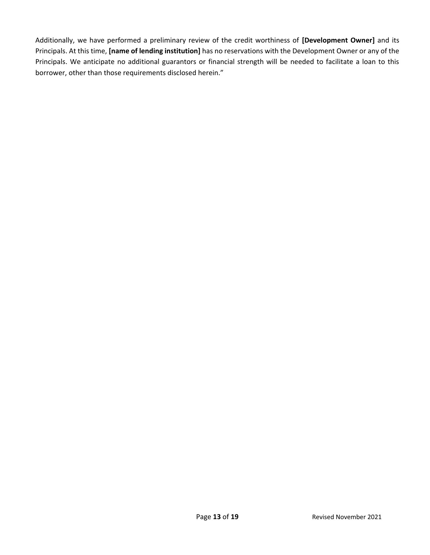Additionally, we have performed a preliminary review of the credit worthiness of **[Development Owner]** and its Principals. At this time, **[name of lending institution]** has no reservations with the Development Owner or any of the Principals. We anticipate no additional guarantors or financial strength will be needed to facilitate a loan to this borrower, other than those requirements disclosed herein."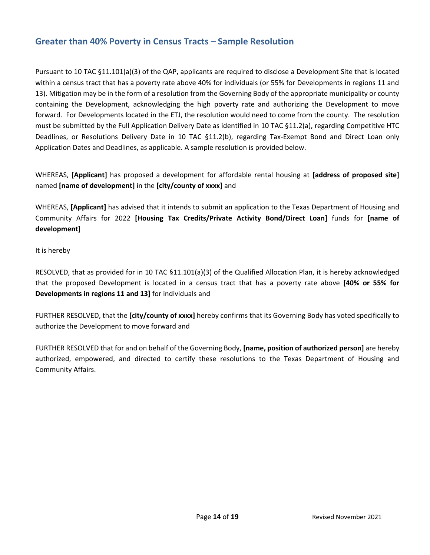# <span id="page-13-0"></span>**Greater than 40% Poverty in Census Tracts – Sample Resolution**

Pursuant to 10 TAC §11.101(a)(3) of the QAP, applicants are required to disclose a Development Site that is located within a census tract that has a poverty rate above 40% for individuals (or 55% for Developments in regions 11 and 13). Mitigation may be in the form of a resolution from the Governing Body of the appropriate municipality or county containing the Development, acknowledging the high poverty rate and authorizing the Development to move forward. For Developments located in the ETJ, the resolution would need to come from the county. The resolution must be submitted by the Full Application Delivery Date as identified in 10 TAC §11.2(a), regarding Competitive HTC Deadlines, or Resolutions Delivery Date in 10 TAC §11.2(b), regarding Tax-Exempt Bond and Direct Loan only Application Dates and Deadlines, as applicable. A sample resolution is provided below.

WHEREAS, **[Applicant]** has proposed a development for affordable rental housing at **[address of proposed site]** named **[name of development]** in the **[city/county of xxxx]** and

WHEREAS, **[Applicant]** has advised that it intends to submit an application to the Texas Department of Housing and Community Affairs for 2022 **[Housing Tax Credits/Private Activity Bond/Direct Loan]** funds for **[name of development]**

It is hereby

RESOLVED, that as provided for in 10 TAC §11.101(a)(3) of the Qualified Allocation Plan, it is hereby acknowledged that the proposed Development is located in a census tract that has a poverty rate above **[40% or 55% for Developments in regions 11 and 13]** for individuals and

FURTHER RESOLVED, that the **[city/county of xxxx]** hereby confirms that its Governing Body has voted specifically to authorize the Development to move forward and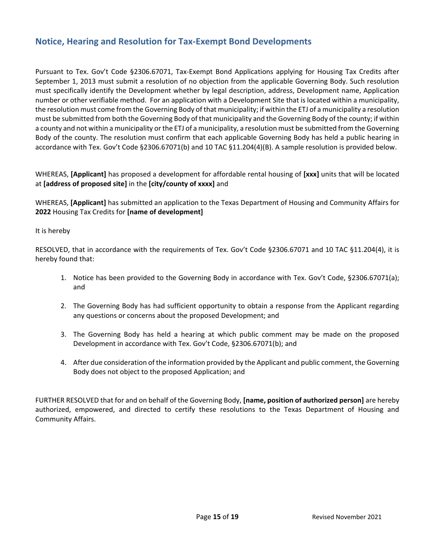# <span id="page-14-0"></span>**Notice, Hearing and Resolution for Tax-Exempt Bond Developments**

Pursuant to Tex. Gov't Code §2306.67071, Tax-Exempt Bond Applications applying for Housing Tax Credits after September 1, 2013 must submit a resolution of no objection from the applicable Governing Body. Such resolution must specifically identify the Development whether by legal description, address, Development name, Application number or other verifiable method. For an application with a Development Site that is located within a municipality, the resolution must come from the Governing Body of that municipality; if within the ETJ of a municipality a resolution must be submitted from both the Governing Body of that municipality and the Governing Body of the county; if within a county and not within a municipality or the ETJ of a municipality, a resolution must be submitted from the Governing Body of the county. The resolution must confirm that each applicable Governing Body has held a public hearing in accordance with Tex. Gov't Code §2306.67071(b) and 10 TAC §11.204(4)(B). A sample resolution is provided below.

WHEREAS, **[Applicant]** has proposed a development for affordable rental housing of **[xxx]** units that will be located at **[address of proposed site]** in the **[city/county of xxxx]** and

WHEREAS, **[Applicant]** has submitted an application to the Texas Department of Housing and Community Affairs for **2022** Housing Tax Credits for **[name of development]**

It is hereby

RESOLVED, that in accordance with the requirements of Tex. Gov't Code §2306.67071 and 10 TAC §11.204(4), it is hereby found that:

- 1. Notice has been provided to the Governing Body in accordance with Tex. Gov't Code, §2306.67071(a); and
- 2. The Governing Body has had sufficient opportunity to obtain a response from the Applicant regarding any questions or concerns about the proposed Development; and
- 3. The Governing Body has held a hearing at which public comment may be made on the proposed Development in accordance with Tex. Gov't Code, §2306.67071(b); and
- 4. After due consideration of the information provided by the Applicant and public comment, the Governing Body does not object to the proposed Application; and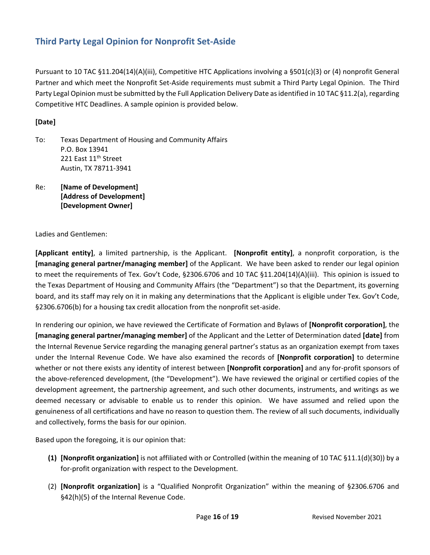# <span id="page-15-0"></span>**Third Party Legal Opinion for Nonprofit Set-Aside**

Pursuant to 10 TAC §11.204(14)(A)(iii), Competitive HTC Applications involving a §501(c)(3) or (4) nonprofit General Partner and which meet the Nonprofit Set-Aside requirements must submit a Third Party Legal Opinion. The Third Party Legal Opinion must be submitted by the Full Application Delivery Date as identified in 10 TAC §11.2(a), regarding Competitive HTC Deadlines. A sample opinion is provided below.

#### **[Date]**

- To: Texas Department of Housing and Community Affairs P.O. Box 13941 221 East 11<sup>th</sup> Street Austin, TX 78711-3941
- Re: **[Name of Development] [Address of Development] [Development Owner]**

Ladies and Gentlemen:

**[Applicant entity]**, a limited partnership, is the Applicant. **[Nonprofit entity]**, a nonprofit corporation, is the **[managing general partner/managing member]** of the Applicant. We have been asked to render our legal opinion to meet the requirements of Tex. Gov't Code, §2306.6706 and 10 TAC §11.204(14)(A)(iii). This opinion is issued to the Texas Department of Housing and Community Affairs (the "Department") so that the Department, its governing board, and its staff may rely on it in making any determinations that the Applicant is eligible under Tex. Gov't Code, §2306.6706(b) for a housing tax credit allocation from the nonprofit set-aside.

In rendering our opinion, we have reviewed the Certificate of Formation and Bylaws of **[Nonprofit corporation]**, the **[managing general partner/managing member]** of the Applicant and the Letter of Determination dated **[date]** from the Internal Revenue Service regarding the managing general partner's status as an organization exempt from taxes under the Internal Revenue Code. We have also examined the records of **[Nonprofit corporation]** to determine whether or not there exists any identity of interest between **[Nonprofit corporation]** and any for-profit sponsors of the above-referenced development, (the "Development"). We have reviewed the original or certified copies of the development agreement, the partnership agreement, and such other documents, instruments, and writings as we deemed necessary or advisable to enable us to render this opinion. We have assumed and relied upon the genuineness of all certifications and have no reason to question them. The review of all such documents, individually and collectively, forms the basis for our opinion.

Based upon the foregoing, it is our opinion that:

- **(1) [Nonprofit organization]** is not affiliated with or Controlled (within the meaning of 10 TAC §11.1(d)(30)) by a for-profit organization with respect to the Development.
- (2) **[Nonprofit organization]** is a "Qualified Nonprofit Organization" within the meaning of §2306.6706 and §42(h)(5) of the Internal Revenue Code.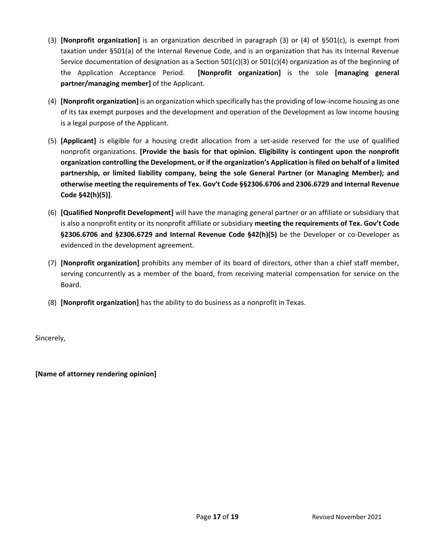- (3) **[Nonprofit organization]** is an organization described in paragraph (3) or (4) of §501(c), is exempt from taxation under §501(a) of the Internal Revenue Code, and is an organization that has its Internal Revenue Service documentation of designation as a Section 501(c)(3) or 501(c)(4) organization as of the beginning of the Application Acceptance Period. **[Nonprofit organization]** is the sole **[managing general partner/managing member]** of the Applicant.
- (4) **[Nonprofit organization]** is an organization which specifically has the providing of low-income housing as one of its tax exempt purposes and the development and operation of the Development as low income housing is a legal purpose of the Applicant.
- (5) **[Applicant]** is eligible for a housing credit allocation from a set-aside reserved for the use of qualified nonprofit organizations. **[Provide the basis for that opinion. Eligibility is contingent upon the nonprofit organization controlling the Development, or if the organization's Application is filed on behalf of a limited partnership, or limited liability company, being the sole General Partner (or Managing Member); and otherwise meeting the requirements of Tex. Gov't Code §§2306.6706 and 2306.6729 and Internal Revenue Code §42(h)(5)]**.
- (6) **[Qualified Nonprofit Development]** will have the managing general partner or an affiliate or subsidiary that is also a nonprofit entity or its nonprofit affiliate or subsidiary **meeting the requirements of Tex. Gov't Code §2306.6706 and §2306.6729 and Internal Revenue Code §42(h)(5)** be the Developer or co-Developer as evidenced in the development agreement.
- (7) **[Nonprofit organization]** prohibits any member of its board of directors, other than a chief staff member, serving concurrently as a member of the board, from receiving material compensation for service on the Board.
- (8) **[Nonprofit organization]** has the ability to do business as a nonprofit in Texas.

Sincerely,

**[Name of attorney rendering opinion]**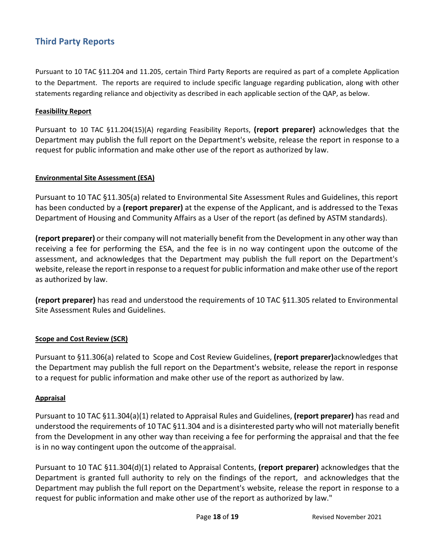# **Third Party Reports**

Pursuant to 10 TAC §11.204 and 11.205, certain Third Party Reports are required as part of a complete Application to the Department. The reports are required to include specific language regarding publication, along with other statements regarding reliance and objectivity as described in each applicable section of the QAP, as below.

#### **Feasibility Report**

Pursuant to 10 TAC §11.204(15)(A) regarding Feasibility Reports, **(report preparer)** acknowledges that the Department may publish the full report on the Department's website, release the report in response to a request for public information and make other use of the report as authorized by law.

#### **Environmental Site Assessment (ESA)**

Pursuant to 10 TAC §11.305(a) related to Environmental Site Assessment Rules and Guidelines, this report has been conducted by a **(report preparer)** at the expense of the Applicant, and is addressed to the Texas Department of Housing and Community Affairs as a User of the report (as defined by ASTM standards).

**(report preparer)** or their company will not materially benefit from the Development in any other way than receiving a fee for performing the ESA, and the fee is in no way contingent upon the outcome of the assessment, and acknowledges that the Department may publish the full report on the Department's website, release the report in response to a request for public information and make other use of the report as authorized by law.

**(report preparer)** has read and understood the requirements of 10 TAC §11.305 related to Environmental Site Assessment Rules and Guidelines.

#### **Scope and Cost Review (SCR)**

Pursuant to §11.306(a) related to Scope and Cost Review Guidelines, **(report preparer)**acknowledges that the Department may publish the full report on the Department's website, release the report in response to a request for public information and make other use of the report as authorized by law.

#### **Appraisal**

Pursuant to 10 TAC §11.304(a)(1) related to Appraisal Rules and Guidelines, **(report preparer)** has read and understood the requirements of 10 TAC §11.304 and is a disinterested party who will not materially benefit from the Development in any other way than receiving a fee for performing the appraisal and that the fee is in no way contingent upon the outcome of theappraisal.

Pursuant to 10 TAC §11.304(d)(1) related to Appraisal Contents, **(report preparer)** acknowledges that the Department is granted full authority to rely on the findings of the report, and acknowledges that the Department may publish the full report on the Department's website, release the report in response to a request for public information and make other use of the report as authorized by law."